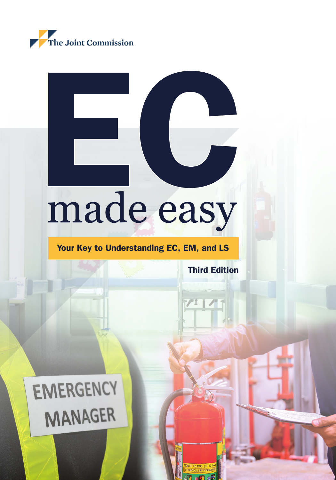

# made easy

### Your Key to Understanding EC, EM, and LS

Third Edition

i

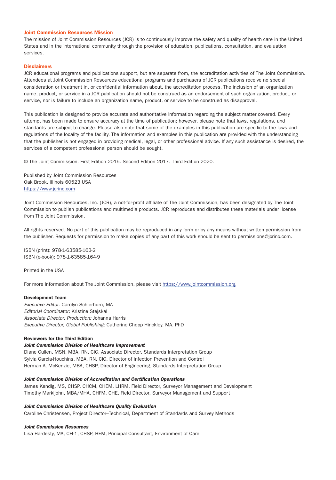#### Joint Commission Resources Mission

The mission of Joint Commission Resources (JCR) is to continuously improve the safety and quality of health care in the United States and in the international community through the provision of education, publications, consultation, and evaluation services.

#### **Disclaimers**

JCR educational programs and publications support, but are separate from, the accreditation activities of The Joint Commission. Attendees at Joint Commission Resources educational programs and purchasers of JCR publications receive no special consideration or treatment in, or confidential information about, the accreditation process. The inclusion of an organization name, product, or service in a JCR publication should not be construed as an endorsement of such organization, product, or service, nor is failure to include an organization name, product, or service to be construed as disapproval.

This publication is designed to provide accurate and authoritative information regarding the subject matter covered. Every attempt has been made to ensure accuracy at the time of publication; however, please note that laws, regulations, and standards are subject to change. Please also note that some of the examples in this publication are specific to the laws and regulations of the locality of the facility. The information and examples in this publication are provided with the understanding that the publisher is not engaged in providing medical, legal, or other professional advice. If any such assistance is desired, the services of a competent professional person should be sought.

© The Joint Commission. First Edition 2015. Second Edition 2017. Third Edition 2020.

Published by Joint Commission Resources Oak Brook, Illinois 60523 USA [https://www.jcrinc.com](https://www.jcrinc.com/)

Joint Commission Resources, Inc. (JCR), a not-for-profit affiliate of The Joint Commission, has been designated by The Joint Commission to publish publications and multimedia products. JCR reproduces and distributes these materials under license from The Joint Commission.

All rights reserved. No part of this publication may be reproduced in any form or by any means without written permission from the publisher. Requests for permission to make copies of any part of this work should be sent to [permissions@jcrinc.com](mailto:permissions@jcrinc.com).

ISBN (print): 978-1-63585-163-2 ISBN (e-book): 978-1-63585-164-9

Printed in the USA

For more information about The Joint Commission, please visit <https://www.jointcommission.org>

#### Development Team

*Executive Editor:* Carolyn Schierhorn, MA *Editorial Coordinator:* Kristine Stejskal *Associate Director, Production:* Johanna Harris *Executive Director, Global Publishing:* Catherine Chopp Hinckley, MA, PhD

#### Reviewers for the Third Edition

#### *Joint Commission Division of Healthcare Improvement*

Diane Cullen, MSN, MBA, RN, CIC, Associate Director, Standards Interpretation Group Sylvia Garcia-Houchins, MBA, RN, CIC, Director of Infection Prevention and Control Herman A. McKenzie, MBA, CHSP, Director of Engineering, Standards Interpretation Group

#### *Joint Commission Division of Accreditation and Certification Operations*

James Kendig, MS, CHSP, CHCM, CHEM, LHRM, Field Director, Surveyor Management and Development Timothy Markijohn, MBA/MHA, CHFM, CHE, Field Director, Surveyor Management and Support

#### *Joint Commission Division of Healthcare Quality Evaluation*

Caroline Christensen, Project Director–Technical, Department of Standards and Survey Methods

#### *Joint Commission Resources*

Lisa Hardesty, MA, CFI-1, CHSP, HEM, Principal Consultant, Environment of Care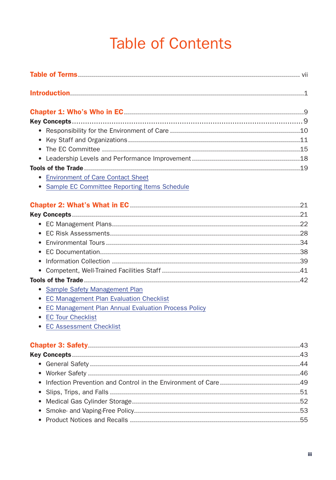## **Table of Contents**

| $\bullet$                                           |  |
|-----------------------------------------------------|--|
| $\bullet$                                           |  |
|                                                     |  |
| <b>Environment of Care Contact Sheet</b>            |  |
| Sample EC Committee Reporting Items Schedule        |  |
|                                                     |  |
|                                                     |  |
|                                                     |  |
| $\bullet$                                           |  |
|                                                     |  |
|                                                     |  |
| ٠                                                   |  |
| $\bullet$                                           |  |
|                                                     |  |
| Sample Safety Management Plan<br>٠                  |  |
| <b>EC Management Plan Evaluation Checklist</b>      |  |
| EC Management Plan Annual Evaluation Process Policy |  |
| <b>EC Tour Checklist</b><br>$\bullet$               |  |
| <b>EC Assessment Checklist</b>                      |  |
|                                                     |  |
|                                                     |  |
|                                                     |  |
|                                                     |  |
|                                                     |  |
|                                                     |  |
|                                                     |  |
|                                                     |  |
|                                                     |  |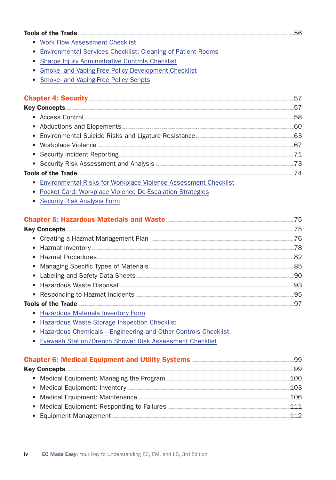|                                                                        | .56 |
|------------------------------------------------------------------------|-----|
| • Work Flow Assessment Checklist                                       |     |
| Environmental Services Checklist: Cleaning of Patient Rooms<br>٠       |     |
| Sharps Injury Administrative Controls Checklist                        |     |
| Smoke- and Vaping-Free Policy Development Checklist                    |     |
| Smoke- and Vaping-Free Policy Scripts<br>$\bullet$                     |     |
|                                                                        |     |
|                                                                        |     |
|                                                                        |     |
|                                                                        |     |
|                                                                        |     |
|                                                                        |     |
|                                                                        |     |
|                                                                        |     |
|                                                                        |     |
|                                                                        |     |
| <b>Environmental Risks for Workplace Violence Assessment Checklist</b> |     |
| Pocket Card: Workplace Violence De-Escalation Strategies               |     |
| <b>Security Risk Analysis Form</b>                                     |     |
|                                                                        |     |
|                                                                        | .75 |

| the contract of the contract of the contract of the contract of the contract of the contract of the contract of the contract of the contract of the contract of the contract of the contract of the contract of the contract o |  |
|--------------------------------------------------------------------------------------------------------------------------------------------------------------------------------------------------------------------------------|--|

- Hazardous Materials Inventory Form
- Hazardous Waste Storage Inspection Checklist
- Hazardous Chemicals—Engineering and Other Controls Checklist
- Eyewash Station/Drench Shower Risk Assessment Checklist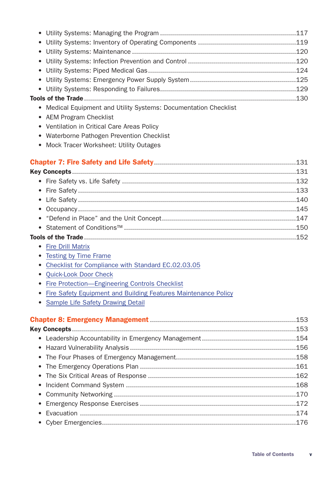- Medical Equipment and Utility Systems: Documentation Checklist
- AEM Program Checklist
- Ventilation in Critical Care Areas Policy
- Waterborne Pathogen Prevention Checklist
- Mock Tracer Worksheet: Utility Outages

- Fire Drill Matrix
- Testing by Time Frame
- Checklist for Compliance with Standard EC.02.03.05
- Quick-Look Door Check
- Fire Protection—Engineering Controls Checklist
- Fire Safety Equipment and Building Features Maintenance Policy
- Sample Life Safety Drawing Detail